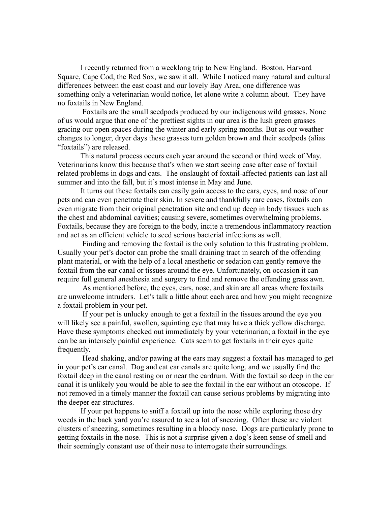I recently returned from a weeklong trip to New England. Boston, Harvard Square, Cape Cod, the Red Sox, we saw it all. While I noticed many natural and cultural differences between the east coast and our lovely Bay Area, one difference was something only a veterinarian would notice, let alone write a column about. They have no foxtails in New England.

 Foxtails are the small seedpods produced by our indigenous wild grasses. None of us would argue that one of the prettiest sights in our area is the lush green grasses gracing our open spaces during the winter and early spring months. But as our weather changes to longer, dryer days these grasses turn golden brown and their seedpods (alias "foxtails") are released.

This natural process occurs each year around the second or third week of May. Veterinarians know this because that's when we start seeing case after case of foxtail related problems in dogs and cats. The onslaught of foxtail-affected patients can last all summer and into the fall, but it's most intense in May and June.

It turns out these foxtails can easily gain access to the ears, eyes, and nose of our pets and can even penetrate their skin. In severe and thankfully rare cases, foxtails can even migrate from their original penetration site and end up deep in body tissues such as the chest and abdominal cavities; causing severe, sometimes overwhelming problems. Foxtails, because they are foreign to the body, incite a tremendous inflammatory reaction and act as an efficient vehicle to seed serious bacterial infections as well.

 Finding and removing the foxtail is the only solution to this frustrating problem. Usually your pet's doctor can probe the small draining tract in search of the offending plant material, or with the help of a local anesthetic or sedation can gently remove the foxtail from the ear canal or tissues around the eye. Unfortunately, on occasion it can require full general anesthesia and surgery to find and remove the offending grass awn.

 As mentioned before, the eyes, ears, nose, and skin are all areas where foxtails are unwelcome intruders. Let's talk a little about each area and how you might recognize a foxtail problem in your pet.

 If your pet is unlucky enough to get a foxtail in the tissues around the eye you will likely see a painful, swollen, squinting eye that may have a thick yellow discharge. Have these symptoms checked out immediately by your veterinarian; a foxtail in the eye can be an intensely painful experience. Cats seem to get foxtails in their eyes quite frequently.

 Head shaking, and/or pawing at the ears may suggest a foxtail has managed to get in your pet's ear canal. Dog and cat ear canals are quite long, and we usually find the foxtail deep in the canal resting on or near the eardrum. With the foxtail so deep in the ear canal it is unlikely you would be able to see the foxtail in the ear without an otoscope. If not removed in a timely manner the foxtail can cause serious problems by migrating into the deeper ear structures.

If your pet happens to sniff a foxtail up into the nose while exploring those dry weeds in the back yard you're assured to see a lot of sneezing. Often these are violent clusters of sneezing, sometimes resulting in a bloody nose. Dogs are particularly prone to getting foxtails in the nose. This is not a surprise given a dog's keen sense of smell and their seemingly constant use of their nose to interrogate their surroundings.